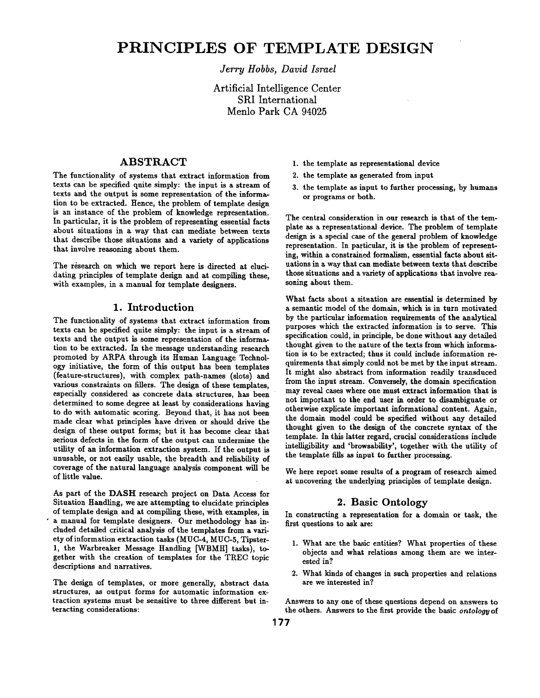# **PRINCIPLES OF TEMPLATE DESIGN**

*Jerry Hobbs, David Israel* 

Artificial Intelligence Center SRI International Menlo Park CA 94025

## ABSTRACT

The functionality of systems that extract information from texts can be specified quite simply: the input is a stream of texts and the output is some representation of the information to be extracted. Hence, the problem of template design is an instance of the problem of knowledge representation. In particular, it is the problem of representing essential facts about situations in a way that can mediate between texts that describe those situations and a vaxiety of applications that involve reasoning about them.

The research on which we report here is directed at elucidating principles of template design and at compiling these, with examples, in a manual for template designers.

# **1.** Introduction

The functionality of systems that extract information from texts can be specified quite simply: the input is a stream of texts and the output is some representation of the information to be extracted. In the message understanding research promoted by ARPA through its Human Language Technology initiative, the form of this output has been templates (feature-structures), with complex path-names (slots) and various constraints on fillers. The design of these templates, especially considered as concrete data structures, has been determined to some degree at least by considerations having to do with automatic scoring. Beyond that, it has not been made clear what principles have driven or should drive the design of these output forms; but it has become clear that serious defects in the form of the output can undermine the utility of an information extraction system. If the output is unusable, or not easily usable, the breadth and reliability of coverage of the natural language analysis component will be of little value.

As part of the DASH research project on Data Access for Situation Handling, we are attempting to elucidate principles of template design and at compiling these, with examples, in a manual for template designers. Our methodology has ineluded detailed critical analysis of the templates from a variety of information extraction tasks (MUC-4, MUG-5, Tipster-1, the Waxbreaker Message Handling [WBMH] tasks), together with the creation of templates for the TREC topic descriptions and narratives.

The design of templates, or more generally, abstract data structures, as output forms for automatic information extraction systems must be sensitive to three different but interacting considerations:

- 1. the template as representational device
- 2. the template as generated from input
- 3. the template as input to further processing, by humans or programs or both.

The central consideration in our research is that of the template as a representational device. The problem of template design is a special case of the general problem of knowledge representation. In particular, it is the problem of representing, within a constrained formalism, essential facts about situations in a way that can mediate between texts that describe those situations and a variety of applications that involve reasoning about them.

What facts about a situation are essential is determined by a semantic model of the domain, which is in turn motivated by the particular information requirements of the analytical purposes which the extracted information is to serve. This specification could, in principle, be done without any detailed thought given to the nature of the texts from which information is to be extracted; thus it could include information requirements that simply could not be met by the input stream. It might also abstract from information readily transduced from the input stream. Conversely, the domain specification may reveal cases where one must extract information that is not important to the end user in order to disambiguate or otherwise explicate important informational content. Again, the domain model could be specified without any detailed thought given to the design of the concrete syntax of the template. In this latter regard, crucial considerations include intelligibility and 'browsability', together with the utility of the template fills as input to further processing.

We here report some results of a program of research aimed at uncovering the underlying principles of template design.

## **2.** Basic Ontology

In constructing a representation for a domain or task, the first questions to ask are:

- 1. What axe the basic entities? What properties of these objects and what relations among them are we interested in?
- 2. What kinds of changes in such properties and relations are we interested in?

Answers to any one of these questions depend on answers to the others. Answers to the first provide the basic *ontology* of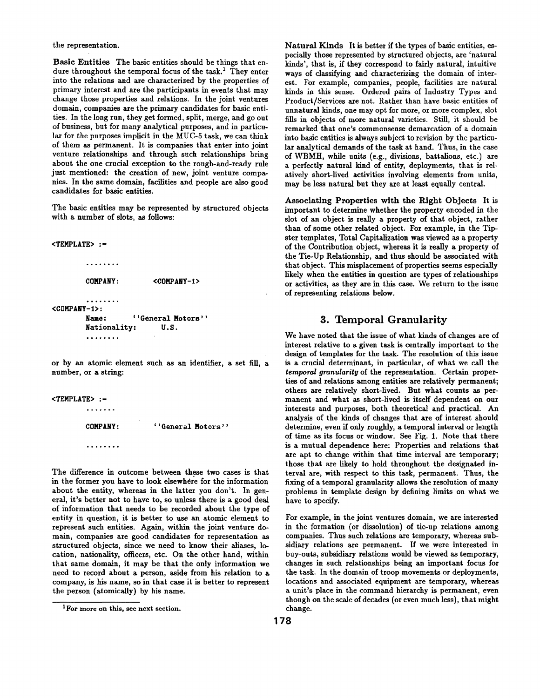the representation.

Basic Entities The basic entities should be things that endure throughout the temporal focus of the task.<sup>1</sup> They enter into the relations and axe characterized by the properties of primary interest and are the participants in events that may change those properties and relations. In the joint ventures domain, companies are the primary candidates for basic entities. In the long run, they get formed, split, merge, and go out of business, but for many analytical purposes, and in partieulax for the purposes implicit in the MUC-5 task, we can think of them as permanent. It is companies that enter into joint venture relationships and through such relationships bring about the one crucial exception to the rough-and-ready rule just mentioned: the creation of new, joint venture companies. In the same domain, facilities and people axe also good candidates for basic entities.

The basic entities may be represented by structured objects with a number of slots, as follows:

 $<$ TEMPLATE> :=

```
. . . . . . . .
        COMPANY: <COMPANY-1>
        °°o.°o°o 
<COMPANY-I>: 
        Name: ''General Motors'' 
        Nationality: U.S. 
        °o°,°.o°
```
or by an atomic element such as an identifier, a set fill, a number, or a string:

<TEMPLATE> := o.oo.,o **COMPANY: ''General Motors''**  . . . . . . . .

The difference in outcome between these two cases is that in the former you have to look elsewhere for the information about the entity, whereas in the latter you don't. In general, it's better not to have to, so unless there is a good deal of information that needs to be recorded about the type of entity in question, it is better to use an atomic element to represent such entities. Again, within the joint venture domain, companies are good candidates for representation as structured objects, since we need to know their aliases, location, nationality, officers, etc. On the other hand, within that same domain, it may be that the only information we need to record about a person, aside from his relation to a company, is his name, so in that case it is better to represent the person (atomically) by his name.

Natural Kinds It is better if the types of basic entities, especially those represented by structured objects, are 'natural kinds', that is, if they correspond to fairly natural, intuitive ways of classifying and characterizing the domain of interest. For example, companies, people, facilities are natural kinds in this sense. Ordered pairs of Industry Types and Product/Services axe not. Rather than have basic entities of unnatural kinds, one may opt for more, or more complex, slot fills in objects of more natural varieties. Still, it should be remarked that one's eommonsense demarcation of a domain into basic entities is always subject to revision by the particular analytical demands of the task at hand. Thus, in the case of WBMH, while units (e.g., divisions, battalions, etc.) are a perfectly natural kind of entity, deployments, that is relatively short-lived activities involving elements from units, may be less natural but they are at least equally central.

Associating Properties with the Right Objects It is important to determine whether the property encoded in the slot of an object is really a property of that object, rather than of some other related object. For example, in the Tipster templates, Total Capitalization was viewed as a property of the Contribution object, whereas it is really a property of the Tie-Up Relationship, and thus should be associated with that object. This misplacement of properties seems especially likely when the entities in question are types of relationships or activities, as they are in this ease. We return to the issue of representing relations below.

## 3. Temporal Granularity

We have noted that the issue of what kinds of changes are of interest relative to a given task is centrally important to the design of templates for the task. The resolution of this issue is a crucial determinant, in particular, of what we call the *temporal granularity* of the representation. Certain properties of and relations among entities are relatively permanent; others are relatively short-lived. But what counts as permanent and what as short-lived is itself dependent on our interests and purposes, both theoretical and practical. An analysis of the kinds of changes that are of interest should determine, even if only roughly, a temporal interval or length of time as its focus or window. See Fig. 1. Note that there is a mutual dependence here: Properties and relations that are apt to change within that time interval are temporary; those that are likely to hold throughout the designated interval are, with respect to this task, permanent. Thus, the fixing of a temporal granularity allows the resolution of many problems in template design by defining limits on what we have to specify.

For example, in the joint ventures domain, we are interested in the formation (or dissolution) of tie-up relations among companies. Thus such relations are temporary, whereas subsidiary relations are permanent. If we were interested in buy-outs, subsidiary relations would be viewed as temporary, changes in such relationships being an important focus for the task. In the domain of troop movements or deployments, locations and associated equipment are temporary, whereas a unit's place in the command hierarchy is permanent, even though on the scale of decades (or even much less), that might change.

<sup>1</sup> For more on this, see next section.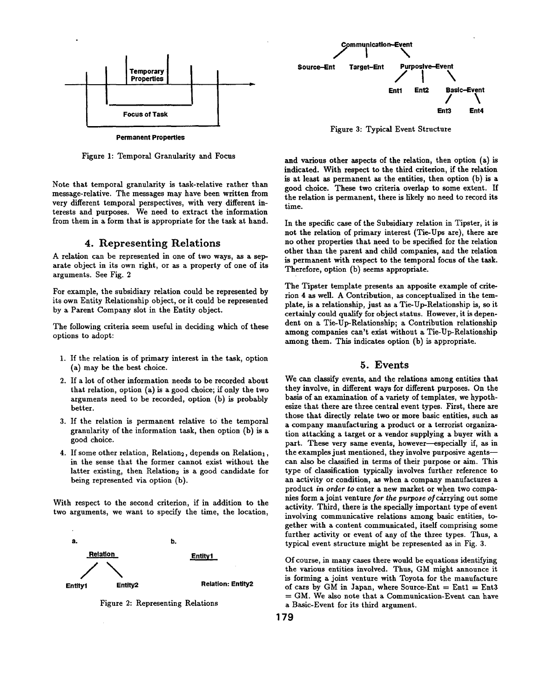

Figure I: Temporal Granularity and Focus

Note that temporal granularity is task-relative rather than message-relative. The messages may have been written from very different temporal perspectives, with very different interests and purposes. We need to extract the information from them in a form that is appropriate for the task at hand.

## **4.** Representing Relations

A relation can be represented in one of two ways, as a separate object in its own right, or as a property of one of its arguments. See Fig. 2

For example, the subsidiary relation could be represented by its own Entity Relationship object, or it could be represented by a Parent Company slot in the Entity object.

The following criteria seem useful in deciding which of these options to adopt:

- I. If the relation is of primary interest in the task, option (a) may be the best choice.
- 2. If a lot of other information needs to be recorded about that relation, option (a) is a good choice; if only the two arguments need to be recorded, option (b) is probably better.
- 3. If the relation is permanent relative to the temporal granularity of the information task, then option (b) is a good choice.
- 4. If some other relation, Relation<sub>2</sub>, depends on Relation<sub>1</sub>, in the sense that the former cannot exist without the latter existing, then Relation<sub>2</sub> is a good candidate for being represented via option (b).

With respect to the second criterion, if in addition to the two arguments, we want to specify the time, the location,



Figure 2: Representing Relations



Figure 3: Typical Event Structure

and various other aspects of the relation, then option (a) is indicated. With respect to the third criterion, if the relation is at least as permanent as the entities, then option (b) is a good choice. These two criteria overlap to some extent. If the relation is permanent, there is likely no need to record its time.

In the specific case of the Subsidiary relation in Tipster, it is not the relation of primary interest (Tie-Ups are), there are no other properties that need to be specified for the relation other than the parent and child companies, and the relation is permanent with respect to the temporal focus of the task. Therefore, option (b) seems appropriate.

The Tipster template presents an apposite example of criterion 4 as well. A Contribution, as conceptualized in the template, is a relationship, just as a Tie-Up-Relationship is, so it certainly could qualify for object status. However, it is dependent on a Tie-Up-Relationship; a Contribution relationship among companies can't exist without a Tie-Up-Relationship among them. This indicates option (b) is appropriate.

### **5.** Events

We can classify events, and the relations among entities that they involve, in different ways for different purposes. On the basis of an examination of a variety of templates, we hypothesize that there axe three central event types. First, there are those that directly relate two or more basic entities, such as a company manufacturing a product or a terrorist organization attacking a target or a vendor supplying a buyer with a part. These very same events, however-especially if, as in the examples just mentioned, they involve purposive agents- can also be classified in terms of their purpose or aim. This type of classification typically involves further reference to an activity or condition, as when a company manufactures a product *in order to* enter a new market or when two companies form a joint venture *for the purpose* of carrying out some activity. Third, there is the specially important type of event involving communicative relations among basic entities, together with a content communicated, itself comprising some further activity or event of any of the three types. Thus, a typical event structure might be represented as in Fig. 3.

Of course, in many cases there would be equations identifying the various entities involved. Thus, GM might announce it is forming a joint venture with Toyota for the manufacture of cars by GM in Japan, where Source-Ent =  $Ent1 = Ent3$  $= GM$ . We also note that a Communication-Event can have a Basic-Event for its third argument.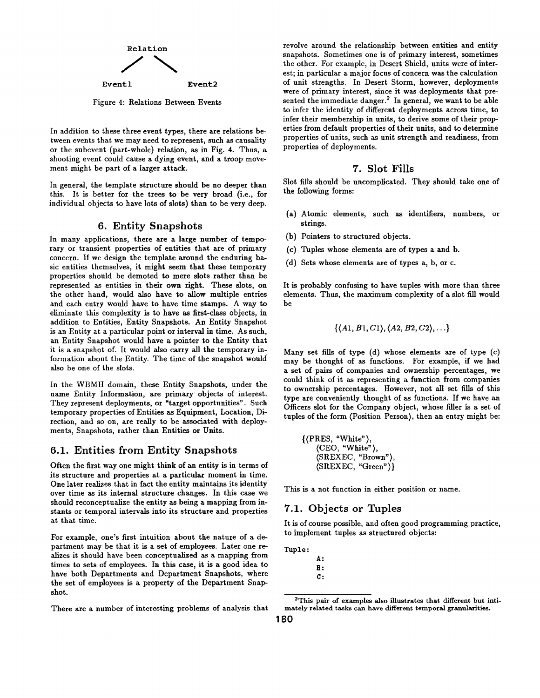

Figure 4: Relations Between Events

In addition to these three event types, there are relations between events that we may need to represent, such as causality or the subevent (part-whole) relation, as in Fig. 4. Thus, a shooting event could cause a dying event, and a troop movement might be part of a larger attack.

In general, the template structure should be no deeper than this. It is better for the trees to be very broad (i.e., for individual objects to have lots of slots) than to be very deep.

### **6.** Entity Snapshots

In many applications, there are a large number of temporary or transient properties of entities that are of primary concern. If we design the template around the enduring basic entities themselves, it might seem that these temporary properties should be demoted to mere slots rather than be represented as entities in their own right. These slots, on the other hand, would also have to allow multiple entries and each entry would have to have time stamps. A way to eliminate this complexity is to have as first-class objects, in addition to Entities, Entity Snapshots. An Entity Snapshot is an Entity at a particular point or interval in time. As such, an Entity Snapshot would have a pointer to the Entity that it is a snapshot of. It would also carry all the temporary information about the Entity. The time of the snapshot would also be one of the slots.

In the WBMH domain, these Entity Snapshots, under the name Entity Information, are primary objects of interest. They represent deployments, or "target opportunities". Such temporary properties of Entities as Equipment, Location, Direction, and so on, are really to be associated with deployments, Snapshots, rather than Entities or Units.

## **6.1.** Entities from Entity Snapshots

Often the first way one might think of an entity is in terms of its structure and properties at a particular moment in time. One later realizes that in fact the entity maintains its identity over time as its internal structure changes. In this case we should reconceptualize the entity as being a mapping from instants or temporal intervals into its structure and properties at that time.

For example, one's first intuition about the nature of a department may be that it is a set of employees. Later one realizes it should have been conceptualized as a mapping from times to sets of employees. In this case, it is a good idea to have both Departments and Department Snapshots, where the set of employees is a property of the Department Snapshot.

There are a number of interesting problems of analysis that

revolve around the relationship between entities and entity snapshots. Sometimes one is of primary interest, sometimes the other. For example, in Desert Shield, units were of interest; in particular a major focus of concern was the calculation of unit strengths. In Desert Storm, however, deployments were of primary interest, since it was deployments that presented the immediate danger.<sup>2</sup> In general, we want to be able to infer the identity of different deployments across time, to infer their membership in units, to derive some of their properties from default properties of their units, and to determine properties of units, such as unit strength and readiness, from properties of deployments.

### **7. Slot Fills**

Slot fills should be uncomplicated. They should take one of the following forms:

- (a) Atomic elements, such as identifiers, numbers, or strings.
- (b) Pointers to structured objects.
- (c) Tuples whose elements are of types a and b.
- (d) Sets whose elements are of types a, b, or c.

It is probably confusing to have tuples with more than three elements. Thus, the maximum complexity of a slot fill would be

$$
\{\langle A1, B1, C1\rangle, \langle A2, B2, C2\rangle, \ldots\}
$$

Many set fills of type (d) whose elements are of type (c) may be thought of as functions. For example, if we had a set of pairs of companies and ownership percentages, we could think of it as representing a function from companies to ownership percentages. However, not all set fills of this type are conveniently thought of as functions. If we have an Officers slot for the Company object, whose filler is a set of tuples of the form (Position Person), then an entry might be:

{ (PRES, "White"), (CEO, "White"), (SREXEC, "Brown"), (SREXEC, "Green")}

This is a not function in either position or name.

# **7.1.** Objects or Tuples

It is of course possible, and often good programming practice, to implement tuples as structured objects:

Tuple:

- **g:**
- **B: C:**

<sup>2</sup>This pair of examples also illustrates that different but intimately related tasks can have different temporal granularities.